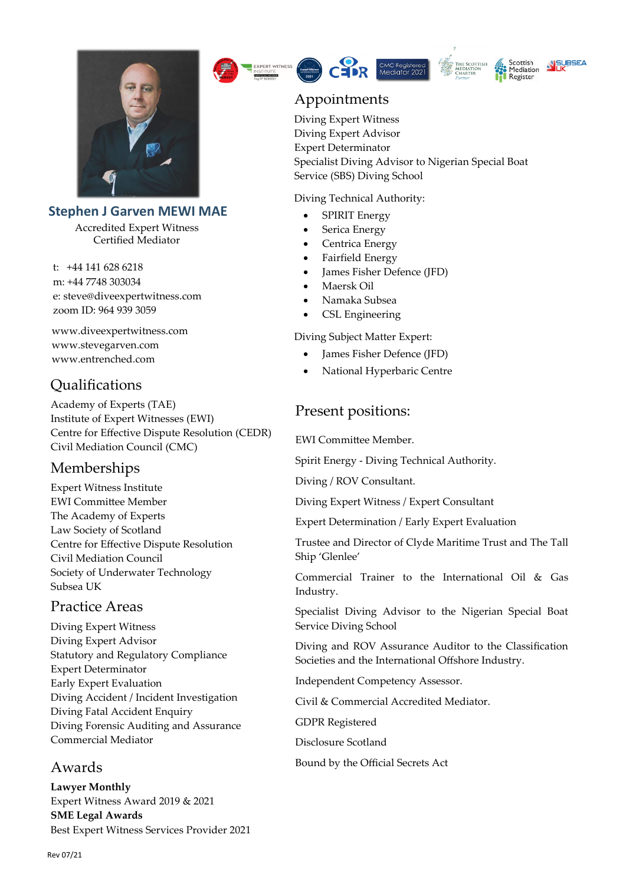

#### **Stephen J Garven MEWI MAE**

Accredited Expert Witness Certified Mediator

t: +44 141 628 6218 m: +44 7748 303034 e: steve@diveexpertwitness.com zoom ID: 964 939 3059

www.diveexpertwitness.com www.stevegarven.com [www.entrenched.com](http://www.entrenched.com/)

## Qualifications

Academy of Experts (TAE) Institute of Expert Witnesses (EWI) Centre for Effective Dispute Resolution (CEDR) Civil Mediation Council (CMC)

#### Memberships

Expert Witness Institute EWI Committee Member The Academy of Experts Law Society of Scotland Centre for Effective Dispute Resolution Civil Mediation Council Society of Underwater Technology Subsea UK

#### Practice Areas

Diving Expert Witness Diving Expert Advisor Statutory and Regulatory Compliance Expert Determinator Early Expert Evaluation Diving Accident / Incident Investigation Diving Fatal Accident Enquiry Diving Forensic Auditing and Assurance Commercial Mediator

#### Awards

**Lawyer Monthly**  Expert Witness Award 2019 & 2021 **SME Legal Awards**  Best Expert Witness Services Provider 2021







## Appointments

Diving Expert Witness Diving Expert Advisor Expert Determinator Specialist Diving Advisor to Nigerian Special Boat Service (SBS) Diving School

Diving Technical Authority:

- SPIRIT Energy
- Serica Energy
- Centrica Energy
- Fairfield Energy
- James Fisher Defence (JFD)
- Maersk Oil
- Namaka Subsea
- CSL Engineering

Diving Subject Matter Expert:

- James Fisher Defence (JFD)
- National Hyperbaric Centre

## Present positions:

EWI Committee Member.

Spirit Energy - Diving Technical Authority.

Diving / ROV Consultant.

Diving Expert Witness / Expert Consultant

Expert Determination / Early Expert Evaluation

Trustee and Director of Clyde Maritime Trust and The Tall Ship 'Glenlee'

Commercial Trainer to the International Oil & Gas Industry.

Specialist Diving Advisor to the Nigerian Special Boat Service Diving School

Diving and ROV Assurance Auditor to the Classification Societies and the International Offshore Industry.

Independent Competency Assessor.

Civil & Commercial Accredited Mediator.

GDPR Registered

Disclosure Scotland

Bound by the Official Secrets Act